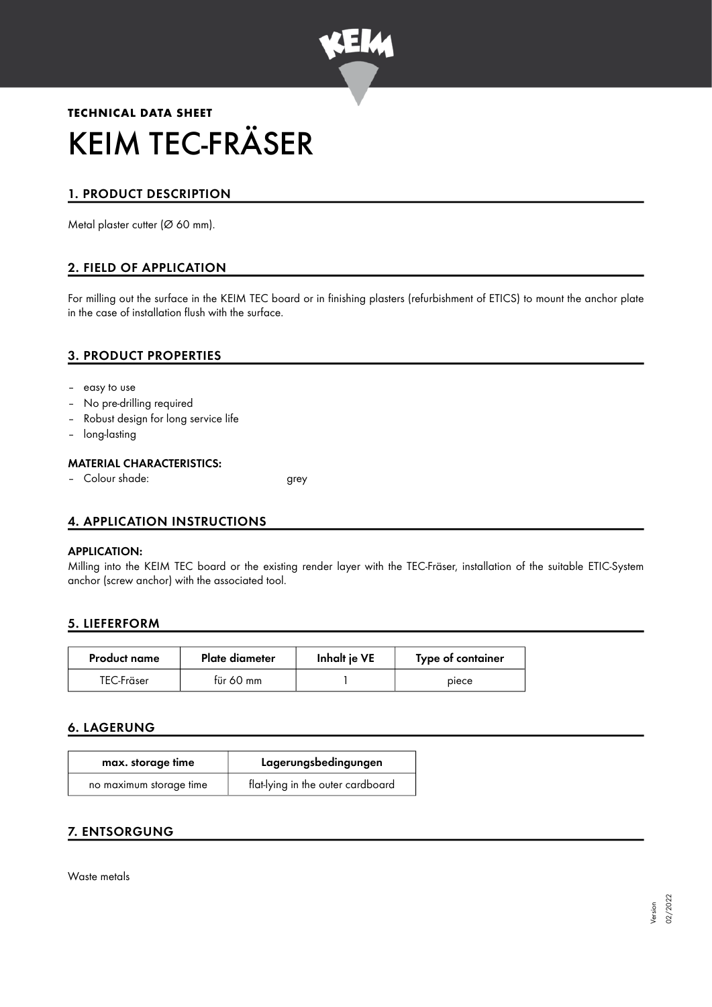

# **TECHNICAL DATA SHEET** KEIM TEC-FRÄSER

# 1. PRODUCT DESCRIPTION

Metal plaster cutter (Ø 60 mm).

# 2. FIELD OF APPLICATION

For milling out the surface in the KEIM TEC board or in finishing plasters (refurbishment of ETICS) to mount the anchor plate in the case of installation flush with the surface.

# 3. PRODUCT PROPERTIES

- easy to use
- No pre-drilling required
- Robust design for long service life
- long-lasting

## MATERIAL CHARACTERISTICS:

– Colour shade: grey

# 4. APPLICATION INSTRUCTIONS

#### APPLICATION:

Milling into the KEIM TEC board or the existing render layer with the TEC-Fräser, installation of the suitable ETIC-System anchor (screw anchor) with the associated tool.

## 5. LIEFERFORM

| <b>Product name</b> | Plate diameter | Inhalt je VE | Type of container |
|---------------------|----------------|--------------|-------------------|
| TEC-Fräser          | für 60 mm      |              | piece             |

## 6. LAGERUNG

| max. storage time       | Lagerungsbedingungen              |
|-------------------------|-----------------------------------|
| no maximum storage time | flat-lying in the outer cardboard |

# 7. ENTSORGUNG

Waste metals